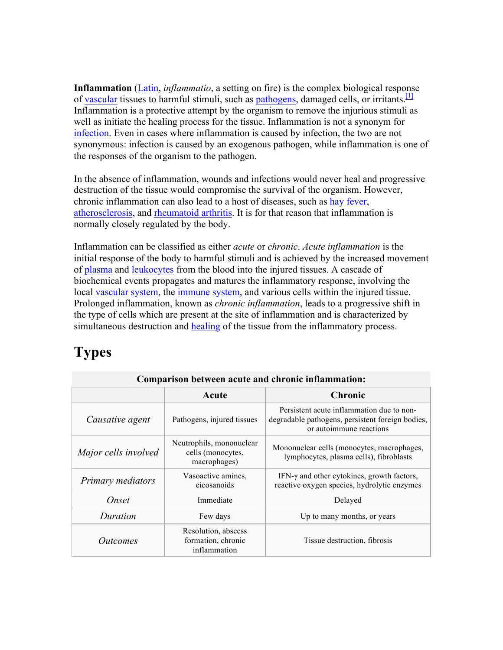**Inflammation** (Latin, *inflammatio*, a setting on fire) is the complex biological response of vascular tissues to harmful stimuli, such as pathogens, damaged cells, or irritants.<sup>[1]</sup> Inflammation is a protective attempt by the organism to remove the injurious stimuli as well as initiate the healing process for the tissue. Inflammation is not a synonym for infection. Even in cases where inflammation is caused by infection, the two are not synonymous: infection is caused by an exogenous pathogen, while inflammation is one of the responses of the organism to the pathogen.

In the absence of inflammation, wounds and infections would never heal and progressive destruction of the tissue would compromise the survival of the organism. However, chronic inflammation can also lead to a host of diseases, such as hay fever, atherosclerosis, and rheumatoid arthritis. It is for that reason that inflammation is normally closely regulated by the body.

Inflammation can be classified as either *acute* or *chronic*. *Acute inflammation* is the initial response of the body to harmful stimuli and is achieved by the increased movement of plasma and leukocytes from the blood into the injured tissues. A cascade of biochemical events propagates and matures the inflammatory response, involving the local vascular system, the immune system, and various cells within the injured tissue. Prolonged inflammation, known as *chronic inflammation*, leads to a progressive shift in the type of cells which are present at the site of inflammation and is characterized by simultaneous destruction and healing of the tissue from the inflammatory process.

## **Types**

| Comparison between acute and chronic inflammation: |                                                               |                                                                                                                          |
|----------------------------------------------------|---------------------------------------------------------------|--------------------------------------------------------------------------------------------------------------------------|
|                                                    | Acute                                                         | <b>Chronic</b>                                                                                                           |
| Causative agent                                    | Pathogens, injured tissues                                    | Persistent acute inflammation due to non-<br>degradable pathogens, persistent foreign bodies,<br>or autoimmune reactions |
| Major cells involved                               | Neutrophils, mononuclear<br>cells (monocytes,<br>macrophages) | Mononuclear cells (monocytes, macrophages,<br>lymphocytes, plasma cells), fibroblasts                                    |
| <b>Primary mediators</b>                           | Vasoactive amines.<br>eicosanoids                             | IFN- $\gamma$ and other cytokines, growth factors,<br>reactive oxygen species, hydrolytic enzymes                        |
| Onset                                              | Immediate                                                     | Delayed                                                                                                                  |
| Duration                                           | Few days                                                      | Up to many months, or years                                                                                              |
| <i><u>Outcomes</u></i>                             | Resolution, abscess<br>formation, chronic<br>inflammation     | Tissue destruction, fibrosis                                                                                             |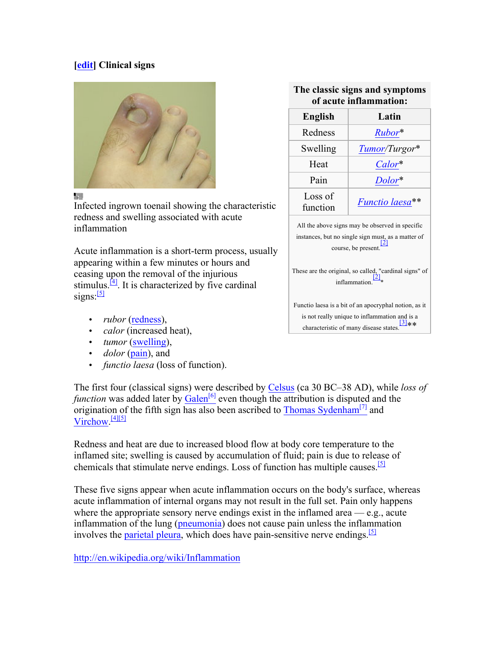## **[edit] Clinical signs**



a.

Infected ingrown toenail showing the characteristic redness and swelling associated with acute inflammation

Acute inflammation is a short-term process, usually appearing within a few minutes or hours and ceasing upon the removal of the injurious stimulus. $[4]$ . It is characterized by five cardinal signs: $\frac{5}{5}$ 

- *rubor* (redness),
- *calor* (increased heat),
- *tumor* (swelling),
- *dolor* (pain), and
- *functio laesa* (loss of function).

## **of acute inflammation: English Latin**

**The classic signs and symptoms** 

| планн           |
|-----------------|
| $Rubor*$        |
| Tumor/Turgor*   |
| Calor*          |
| Dolor*          |
| Functio laesa** |
|                 |

All the above signs may be observed in specific instances, but no single sign must, as a matter of course, be present.  $\boxed{2}$ 

These are the original, so called, "cardinal signs" of inflammation $\frac{[2]}{[2]}$ 

Functio laesa is a bit of an apocryphal notion, as it is not really unique to inflammation and is a characteristic of many disease states.

The first four (classical signs) were described by Celsus (ca 30 BC–38 AD), while *loss of function* was added later by  $\frac{Galen^{[6]}}{[6]}$  even though the attribution is disputed and the origination of the fifth sign has also been ascribed to Thomas Sydenham<sup>[7]</sup> and Virchow.<sup>[4][5]</sup>

Redness and heat are due to increased blood flow at body core temperature to the inflamed site; swelling is caused by accumulation of fluid; pain is due to release of chemicals that stimulate nerve endings. Loss of function has multiple causes.<sup>[5]</sup>

These five signs appear when acute inflammation occurs on the body's surface, whereas acute inflammation of internal organs may not result in the full set. Pain only happens where the appropriate sensory nerve endings exist in the inflamed area — e.g., acute inflammation of the lung (pneumonia) does not cause pain unless the inflammation involves the parietal pleura, which does have pain-sensitive nerve endings.<sup>[5]</sup>

http://en.wikipedia.org/wiki/Inflammation